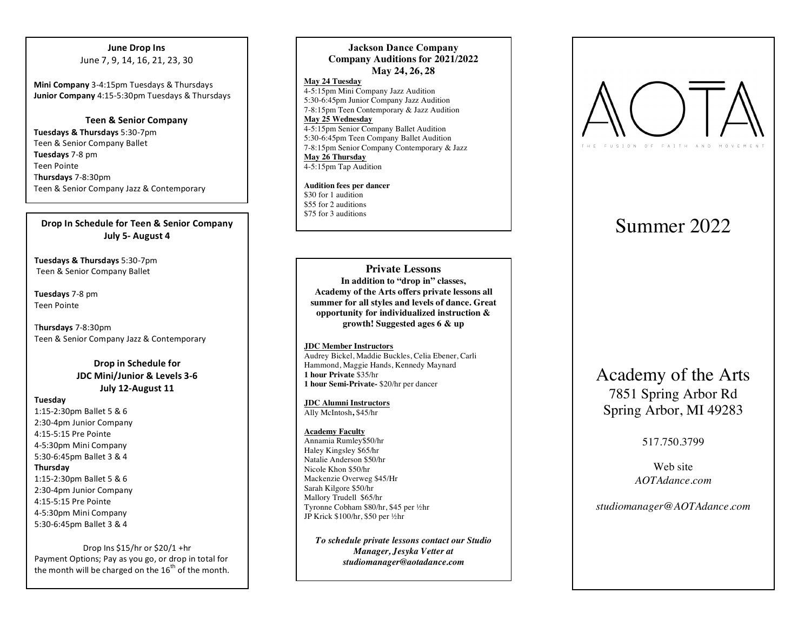### **June Drop Ins** June 7, 9, 14, 16, 21, 23, 30

**Mini Company** 3-4:15pm Tuesdays & Thursdays **Junior Company** 4:15-5:30pm Tuesdays & Thursdays

**Teen & Senior Company** Tuesdays & Thursdays 5:30-7pm Teen & Senior Company Ballet **Tuesdays** 7-8 pm Teen Pointe T**hursdays** 7 - 8:30pm Teen & Senior Company Jazz & Contemporary

## **Drop In Schedule for Teen & Senior Company July 5 - August 4**

Tuesdays & Thursdays 5:30-7pm Teen & Senior Company Ballet

Tuesdays 7-8 pm Teen Pointe

T**hursdays** 7 - 8:30pm Teen & Senior Company Jazz & Contemporary

## **Drop in Schedule for JDC Mini/Junior & Levels 3-6 July 12 -August 11**

#### **Tuesday**

1:15-2:30pm Ballet 5 & 6 2:30 -4pm Junior Company 4:15 -5:15 Pre Pointe 4-5:30pm Mini Company 5:30 -6:45pm Ballet 3 & 4

#### **Thursday**

1:15-2:30pm Ballet 5 & 6 2:30 -4pm Junior Company 4:15 -5:15 Pre Pointe 4-5:30pm Mini Company 5:30 -6:45pm Ballet 3 & 4

Drop Ins  $$15/$ hr or  $$20/1 +$ hr Payment Options; Pay as you go, or drop in total for the month will be charged on the  $16<sup>th</sup>$  of the month.

### **Jackson Dance Company Company Auditions for 2021 /202 2 May 24, 26, 28**

**May 24 Tuesday** 4-5:15pm Mini Company Jazz Audition 5:30 -6:45pm Junior Company Jazz Audition 7 -8:15pm Teen Contemporary & Jazz Audition **May 25 Wednesday** 4-5:15pm Senior Company Ballet Audition 5:30-6:45pm Teen Company Ballet Audition 7-8:15pm Senior Company Contemporary & Jazz **May 26 Thursday** 4-5:15pm Tap Audition

**Audition fees per dancer** \$30 for 1 audition \$55 for 2 auditions \$75 for 3 auditions

**Private Lessons In addition to "drop in" classes, Academy of the Arts offers private lessons all summer for all styles and levels of dance. Great opportunity for individualized instruction & growth! Suggested ages 6 & up**

#### **JDC Member Instructors**

Audrey Bickel, Maddie Buckles, Celia Ebener, Carli Hammond, Maggie Hands, Kennedy Maynard **1 hour Private** \$35/hr **1 hour Semi -Private -** \$20/hr per dancer

**JDC Alumni Instructors** Ally McIntosh**,** \$4 5/hr

#### **Academy Faculty**

Annamia Rumley\$50/hr Haley Kingsley \$65/hr Natalie Anderson \$ 5 0/hr Nicole Khon \$ 5 0/hr Mackenzie Overweg \$45/Hr Sarah Kilgore \$ 5 0/hr Mallory Trudell \$65/hr Tyronne Cobham \$80/hr, \$45 per ½hr JP Krick \$100/hr, \$50 per ½hr

*To schedule private lessons contact our Studio Manager, Jesyka Vetter at studiomanager@aotadance.com*



# Summer 2022

# Academy of the Arts 7851 Spring Arbor Rd Spring Arbor, MI 49283

517.750.3799

Web site *AOTAdance.com* 

*studiomanager@AOTAdance.com*